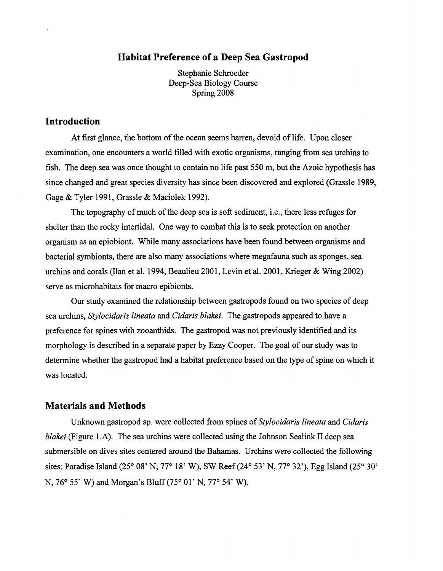#### **Habitat Preference of a Deep Sea Gastropod**

Stephanie Schroeder Deep-Sea Biology Course Spring 2008

### **Introduction**

At first glance, the bottom of the ocean seems barren, devoid of life. Upon closer examination, one encounters a world filled with exotic organisms, ranging from sea urchins to fish. The deep sea was once thought to contain no life past 550 m, but the Azoic hypothesis has since changed and great species diversity has since been discovered and explored (Grassle 1989, Gage & Tyler 1991, Grassle & Maciolek 1992).

The topography of much of the deep sea is soft sediment, i.e., there less refuges for shelter than the rocky intertidal. One way to combat this is to seek protection on another organism as an epiobiont. While many associations have been found between organisms and bacterial symbionts, there are also many associations where megafauna such as sponges, sea urchins and corals (Ilan et al. 1994, Beaulieu 2001, Levin et al. 2001, Krieger & Wing 2002) serve as microhabitats for macro epibionts.

Our study examined the relationship between gastropods found on two species of deep sea urchins, *Stylocidaris lineata* and *Cidaris blakei.* The gastropods appeared to have a preference for spines with zooanthids. The gastropod was not previously identified and its morphology is described in a separate paper by Ezzy Cooper. The goal of our study was to determine whether the gastropod had a habitat preference based on the type of spine on which it was located.

#### **Materials and Methods**

Unknown gastropod sp. were collected from spines of *Stylocidaris lineata* and *Cidaris blakei* (Figure 1.A). The sea urchins were collected using the Johnson Sealink II deep sea submersible on dives sites centered around the Bahamas. Urchins were collected the following sites: Paradise Island (25° 08' N, 77° 18' W), SW Reef (24° 53' N, 77° 32'), Egg Island (25° 30' N, 76° 55' W) and Morgan's Bluff(75° 01' N, 77° 54' W).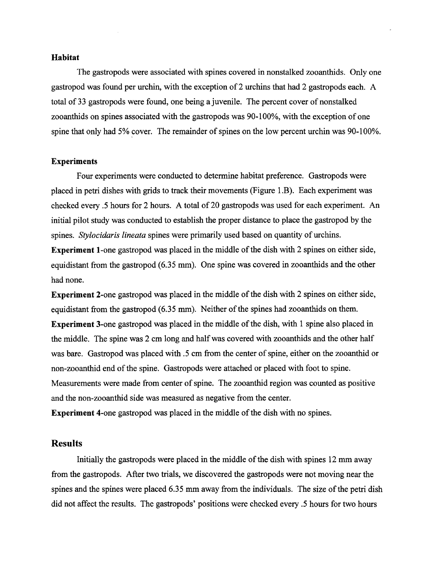#### **Habitat**

The gastropods were associated with spines covered in nonstalked zooanthids. Only one gastropod was found per urchin, with the exception of 2 urchins that had 2 gastropods each. A total of 33 gastropods were found, one being a juvenile. The percent cover of nonstalked zooanthids on spines associated with the gastropods was 90-100%, with the exception of one spine that only had 5% cover. The remainder of spines on the low percent urchin was 90-100%.

#### **Experiments**

Four experiments were conducted to determine habitat preference. Gastropods were placed in petri dishes with grids to track their movements (Figure 1.B). Each experiment was checked every .5 hours for 2 hours. A total of 20 gastropods was used for each experiment. An initial pilot study was conducted to establish the proper distance to place the gastropod by the spines. *Stylocidaris lineata* spines were primarily used based on quantity of urchins.

**Experiment 1-one gastropod was placed in the middle of the dish with 2 spines on either side,** equidistant from the gastropod (6.35 mm). One spine was covered in zooanthids and the other had none.

**Experiment** 2-one gastropod was placed in the middle of the dish with 2 spines on either side, equidistant from the gastropod  $(6.35 \text{ mm})$ . Neither of the spines had zooanthids on them. **Experiment 3-one gastropod was placed in the middle of the dish, with 1 spine also placed in** the middle. The spine was 2 cm long and halfwas covered with zooanthids and the other half was bare. Gastropod was placed with .5 cm from the center of spine, either on the zooanthid or non-zooanthid end of the spine. Gastropods were attached or placed with foot to spine. Measurements were made from center of spine. The zooanthid region was counted as positive and the non-zooanthid side was measured as negative from the center.

**Experiment** 4-one gastropod was placed in the middle of the dish with no spines.

#### **Results**

Initially the gastropods were placed in the middle of the dish with spines 12 mm away from the gastropods. After two trials, we discovered the gastropods were not moving near the spines and the spines were placed 6.35 mm away from the individuals. The size of the petri dish did not affect the results. The gastropods' positions were checked every .5 hours for two hours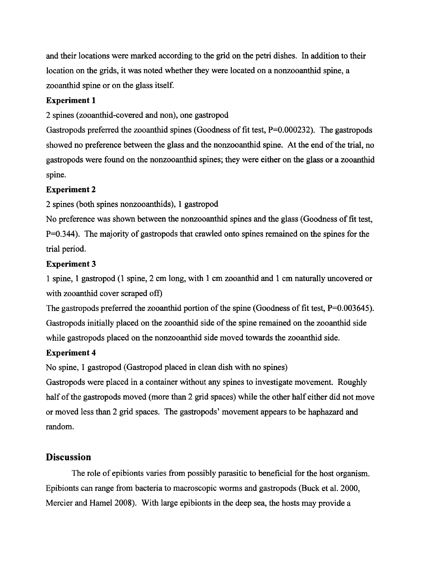and their locations were marked according to the grid on the petri dishes. In addition to their location on the grids, it was noted whether they were located on a nonzooanthid spine, a zooanthid spine or on the glass itself.

### **Experiment 1**

2 spines (zooanthid-covered and non), one gastropod

Gastropods preferred the zooanthid spines (Goodness of fit test,  $P=0.000232$ ). The gastropods showed no preference between the glass and the nonzooanthid spine. At the end of the trial, no gastropods were found on the nonzooanthid spines; they were either on the glass or a zooanthid spine.

### **Experiment 2**

2 spines (both spines nonzooanthids), 1 gastropod

No preference was shown between the nonzooanthid spines and the glass (Goodness of fit test, P=0.344). The majority of gastropods that crawled onto spines remained on the spines for the trial period.

### **Experiment** 3

1 spine, 1 gastropod (1 spine, 2 cm long, with 1 cm zooanthid and 1 cm naturally uncovered or with zooanthid cover scraped off)

The gastropods preferred the zooanthid portion of the spine (Goodness of fit test,  $P=0.003645$ ). Gastropods initially placed on the zooanthid side of the spine remained on the zooanthid side while gastropods placed on the nonzooanthid side moved towards the zooanthid side.

## **Experiment 4**

No spine, 1 gastropod (Gastropod placed in clean dish with no spines)

Gastropods were placed in a container without any spines to investigate movement. Roughly half of the gastropods moved (more than 2 grid spaces) while the other half either did not move or moved less than 2 grid spaces. The gastropods' movement appears to be haphazard and random.

# **Discussion**

The role of epibionts varies from possibly parasitic to beneficial for the host organism. Epibionts can range from bacteria to macroscopic worms and gastropods (Buck et al. 2000, Mercier and Hamel 2008). With large epibionts in the deep sea, the hosts may provide a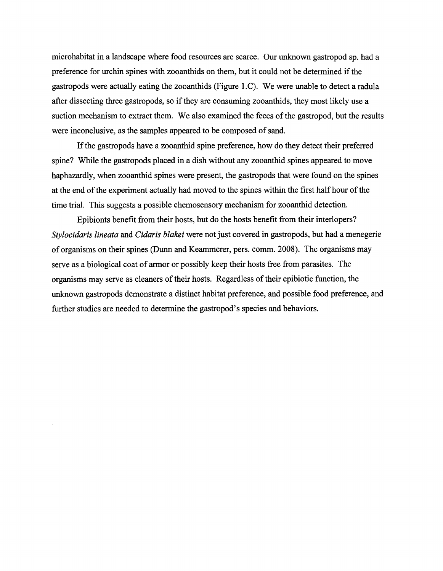microhabitat in a landscape where food resources are scarce. Our unknown gastropod sp. had a preference for urchin spines with zooanthids on them, but it could not be determined if the gastropods were actually eating the zooanthids (Figure I.C). We were unable to detect a radula after dissecting three gastropods, so if they are consuming zooanthids, they most likely use a suction mechanism to extract them. We also examined the feces of the gastropod, but the results were inconclusive, as the samples appeared to be composed of sand.

If the gastropods have a zooanthid spine preference, how do they detect their preferred spine? While the gastropods placed in a dish without any zooanthid spines appeared to move haphazardly, when zooanthid spines were present, the gastropods that were found on the spines at the end of the experiment actually had moved to the spines within the first half hour of the time trial. This suggests a possible chemosensory mechanism for zooanthid detection.

Epibionts benefit from their hosts, but do the hosts benefit from their interlopers? *Stylocidaris lineata* and *Cidaris blakei* were not just covered in gastropods, but had a menegerie of organisms on their spines (Dunn and Keammerer, pers. comm. 2008). The organisms may serve as a biological coat of armor or possibly keep their hosts free from parasites. The organisms may serve as cleaners of their hosts. Regardless of their epibiotic function, the unknown gastropods demonstrate a distinct habitat preference, and possible food preference, and further studies are needed to determine the gastropod's species and behaviors.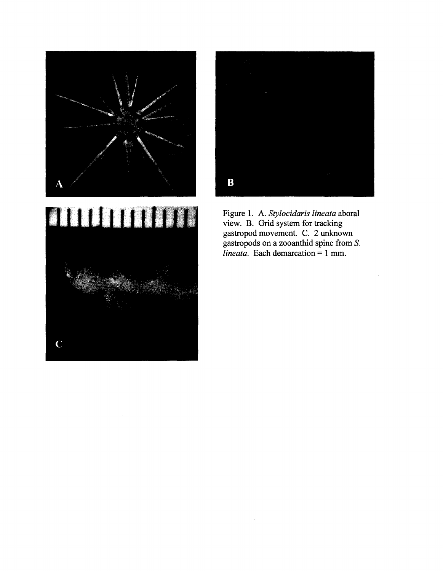





Figure 1. A. *Stylocidaris lineata* aboral view. B. Grid system for tracking gastropod movement. C. 2 unknown gastropods on a zooanthid spine from S.  $\overrightarrow{l}$ *lineata.* Each demarcation = 1 mm.